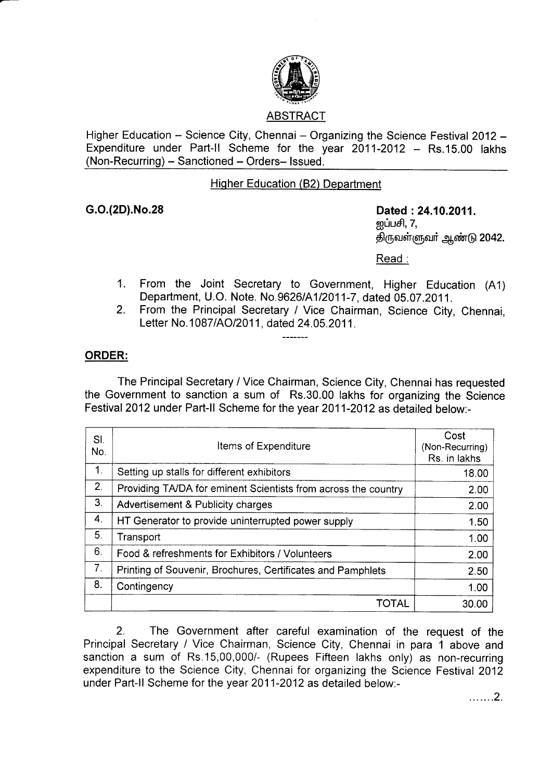

Higher Education – Science City, Chennai – Organizing the Science Festival 2012 – Expenditure under Part-ll Scheme for the year 2011-2012 Rs.15.00 lakhs (Non-Recurring) - Sanctioned - Orders- Issued.

## Hiqher Education (82) Department

G.O.(2D).No.28 Dated :24.10.2011. னப்பசி,  $7$ , திருவள்ளுவா் ஆண்டு 2042.

Read :

- From the Joint Secretary to Government, Higher Education (A1) Department, U.O. Note. No.9626/4112011-7, dated 05.07 .2011. 1.
- From the Principal Secretary / Vice Chairman, Science City, Chennai, Letter No.1087/AO/2011, dated 24.05.2011. 2.

## ORDER:

The Principal Secretary / Vice Chairman, Science City, Chennai has requested the Government to sanction a sum of Rs.30.00 lakhs for organizing the Science Festival 2012 under Part-ll Scheme for the year 2011-2012 as detailed below:-

| SI.<br>No.     | Items of Expenditure                                           | Cost<br>(Non-Recurring)<br>Rs. in lakhs |
|----------------|----------------------------------------------------------------|-----------------------------------------|
| 1.             | Setting up stalls for different exhibitors                     | 18.00                                   |
| 2.             | Providing TA/DA for eminent Scientists from across the country | 2.00                                    |
| 3.             | Advertisement & Publicity charges                              | 2.00                                    |
| 4.             | HT Generator to provide uninterrupted power supply             | 1.50                                    |
| 5.             | Transport                                                      | 1.00                                    |
| 6.             | Food & refreshments for Exhibitors / Volunteers                | 2.00                                    |
| 7 <sub>1</sub> | Printing of Souvenir, Brochures, Certificates and Pamphlets    | 2.50                                    |
| 8.             | Contingency                                                    | 1.00                                    |
|                | TOTAL                                                          | 30.00                                   |

2. The Government after careful examination of the request of the Principal Secretary / Vice Chairman, Science City, Chennai in para 1 above and sanction a sum of Rs.15,00,000/- (Rupees Fifteen lakhs only) as non-recurring expenditure to the Science City, Chennai for organizing the Science Festival 2012 under Part-ll Scheme for the year 2011-2012 as detailed below:-

... ....2.